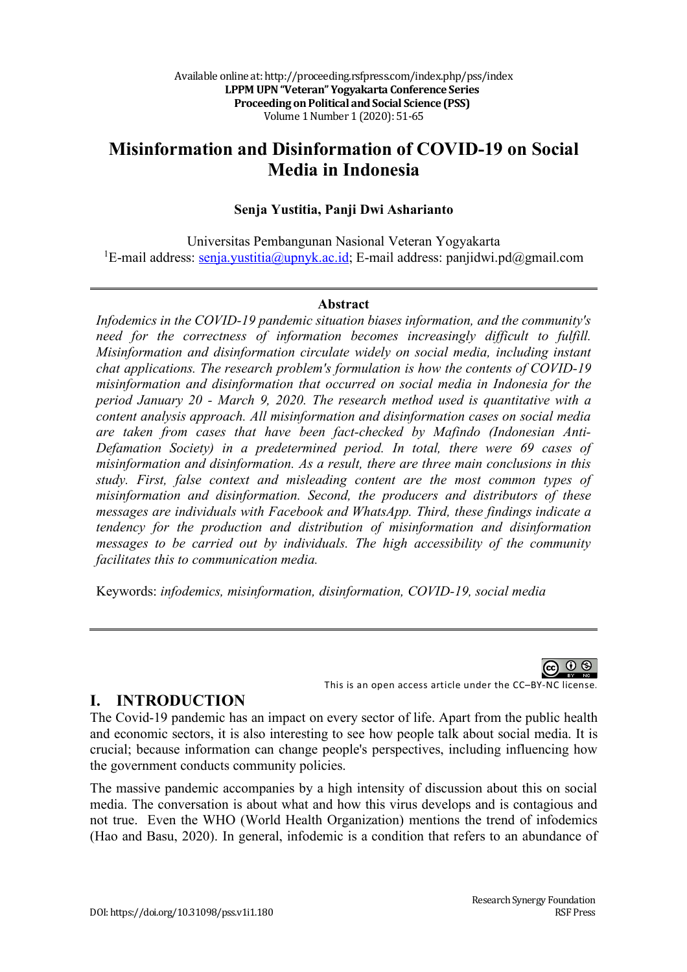# **Misinformation and Disinformation of COVID-19 on Social Media in Indonesia**

#### **Senja Yustitia, Panji Dwi Asharianto**

Universitas Pembangunan Nasional Veteran Yogyakarta <sup>1</sup>E-mail address: senja.yustitia@upnyk.ac.id; E-mail address: panjidwi.pd@gmail.com

#### **Abstract**

*Infodemics in the COVID-19 pandemic situation biases information, and the community's*  need for the correctness of information becomes increasingly difficult to fulfill. *Misinformation and disinformation circulate widely on social media, including instant chat applications. The research problem's formulation is how the contents of COVID-19 misinformation and disinformation that occurred on social media in Indonesia for the period January 20 - March 9, 2020. The research method used is quantitative with a content analysis approach. All misinformation and disinformation cases on social media are taken from cases that have been fact-checked by Mafindo (Indonesian Anti-Defamation Society) in a predetermined period. In total, there were 69 cases of misinformation and disinformation. As a result, there are three main conclusions in this study. First, false context and misleading content are the most common types of misinformation and disinformation. Second, the producers and distributors of these messages are individuals with Facebook and WhatsApp. Third, these findings indicate a tendency for the production and distribution of misinformation and disinformation messages to be carried out by individuals. The high accessibility of the community facilitates this to communication media.*

Keywords: *infodemics, misinformation, disinformation, COVID-19, social media*

၈ ( This is an open access article under the CC–BY-NC license.

**I. INTRODUCTION**

The Covid-19 pandemic has an impact on every sector of life. Apart from the public health and economic sectors, it is also interesting to see how people talk about social media. It is crucial; because information can change people's perspectives, including influencing how the government conducts community policies.

The massive pandemic accompanies by a high intensity of discussion about this on social media. The conversation is about what and how this virus develops and is contagious and not true. Even the WHO (World Health Organization) mentions the trend of infodemics (Hao and Basu, 2020). In general, infodemic is a condition that refers to an abundance of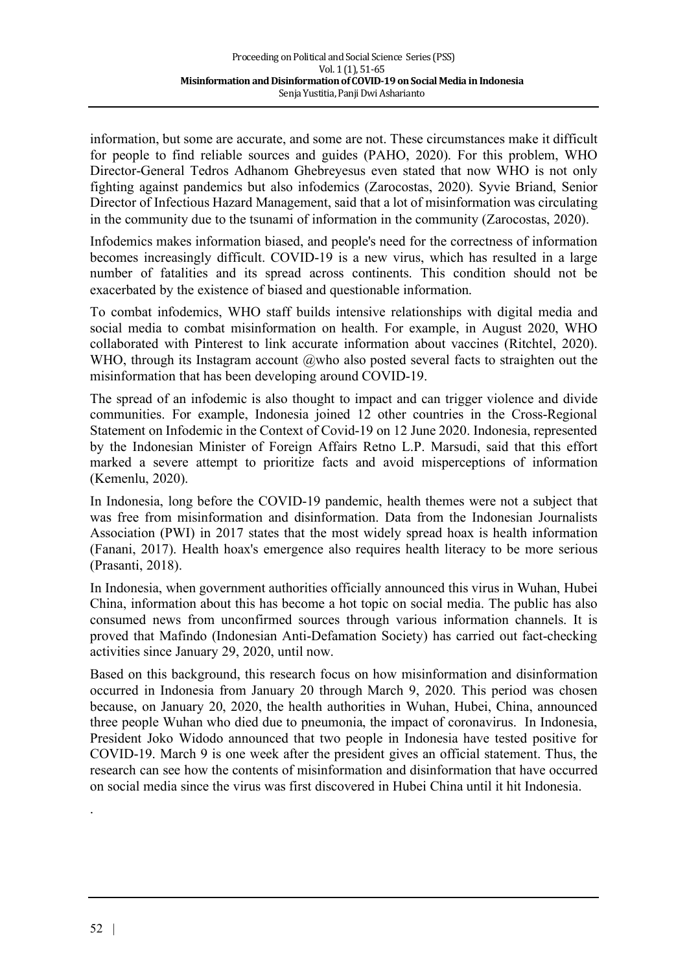information, but some are accurate, and some are not. These circumstances make it difficult for people to find reliable sources and guides (PAHO, 2020). For this problem, WHO Director-General Tedros Adhanom Ghebreyesus even stated that now WHO is not only fighting against pandemics but also infodemics (Zarocostas, 2020). Syvie Briand, Senior Director of Infectious Hazard Management, said that a lot of misinformation was circulating in the community due to the tsunami of information in the community (Zarocostas, 2020).

Infodemics makes information biased, and people's need for the correctness of information becomes increasingly difficult. COVID-19 is a new virus, which has resulted in a large number of fatalities and its spread across continents. This condition should not be exacerbated by the existence of biased and questionable information.

To combat infodemics, WHO staff builds intensive relationships with digital media and social media to combat misinformation on health. For example, in August 2020, WHO collaborated with Pinterest to link accurate information about vaccines (Ritchtel, 2020). WHO, through its Instagram account  $@$  who also posted several facts to straighten out the misinformation that has been developing around COVID-19.

The spread of an infodemic is also thought to impact and can trigger violence and divide communities. For example, Indonesia joined 12 other countries in the Cross-Regional Statement on Infodemic in the Context of Covid-19 on 12 June 2020. Indonesia, represented by the Indonesian Minister of Foreign Affairs Retno L.P. Marsudi, said that this effort marked a severe attempt to prioritize facts and avoid misperceptions of information (Kemenlu, 2020).

In Indonesia, long before the COVID-19 pandemic, health themes were not a subject that was free from misinformation and disinformation. Data from the Indonesian Journalists Association (PWI) in 2017 states that the most widely spread hoax is health information (Fanani, 2017). Health hoax's emergence also requires health literacy to be more serious (Prasanti, 2018).

In Indonesia, when government authorities officially announced this virus in Wuhan, Hubei China, information about this has become a hot topic on social media. The public has also consumed news from unconfirmed sources through various information channels. It is proved that Mafindo (Indonesian Anti-Defamation Society) has carried out fact-checking activities since January 29, 2020, until now.

Based on this background, this research focus on how misinformation and disinformation occurred in Indonesia from January 20 through March 9, 2020. This period was chosen because, on January 20, 2020, the health authorities in Wuhan, Hubei, China, announced three people Wuhan who died due to pneumonia, the impact of coronavirus. In Indonesia, President Joko Widodo announced that two people in Indonesia have tested positive for COVID-19. March 9 is one week after the president gives an official statement. Thus, the research can see how the contents of misinformation and disinformation that have occurred on social media since the virus was first discovered in Hubei China until it hit Indonesia.

.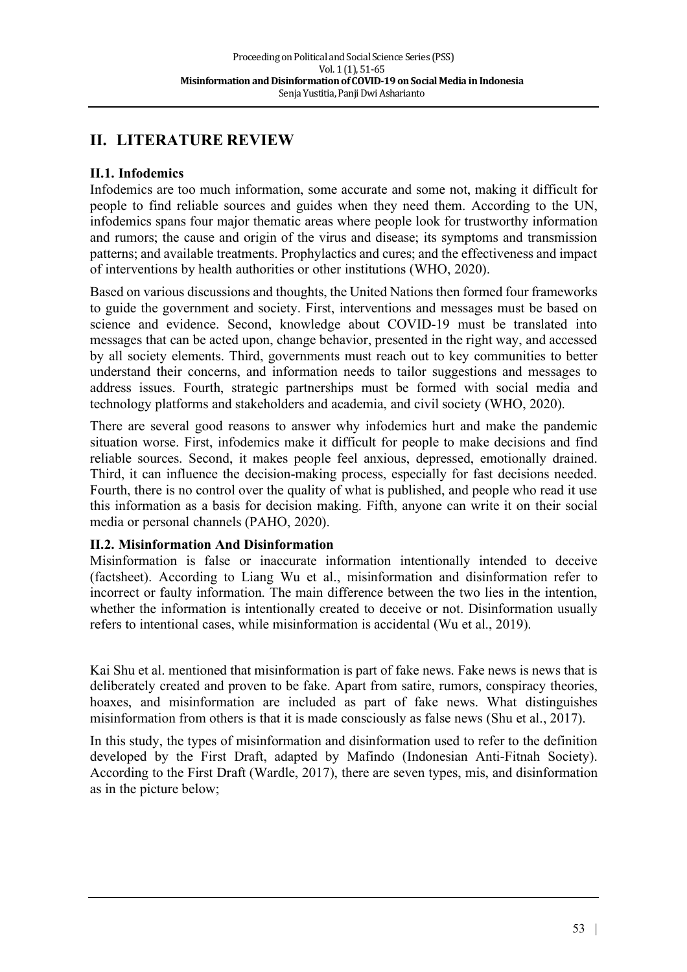## **II. LITERATURE REVIEW**

#### **II.1. Infodemics**

Infodemics are too much information, some accurate and some not, making it difficult for people to find reliable sources and guides when they need them. According to the UN, infodemics spans four major thematic areas where people look for trustworthy information and rumors; the cause and origin of the virus and disease; its symptoms and transmission patterns; and available treatments. Prophylactics and cures; and the effectiveness and impact of interventions by health authorities or other institutions (WHO, 2020).

Based on various discussions and thoughts, the United Nations then formed four frameworks to guide the government and society. First, interventions and messages must be based on science and evidence. Second, knowledge about COVID-19 must be translated into messages that can be acted upon, change behavior, presented in the right way, and accessed by all society elements. Third, governments must reach out to key communities to better understand their concerns, and information needs to tailor suggestions and messages to address issues. Fourth, strategic partnerships must be formed with social media and technology platforms and stakeholders and academia, and civil society (WHO, 2020).

There are several good reasons to answer why infodemics hurt and make the pandemic situation worse. First, infodemics make it difficult for people to make decisions and find reliable sources. Second, it makes people feel anxious, depressed, emotionally drained. Third, it can influence the decision-making process, especially for fast decisions needed. Fourth, there is no control over the quality of what is published, and people who read it use this information as a basis for decision making. Fifth, anyone can write it on their social media or personal channels (PAHO, 2020).

#### **II.2. Misinformation And Disinformation**

Misinformation is false or inaccurate information intentionally intended to deceive (factsheet). According to Liang Wu et al., misinformation and disinformation refer to incorrect or faulty information. The main difference between the two lies in the intention, whether the information is intentionally created to deceive or not. Disinformation usually refers to intentional cases, while misinformation is accidental (Wu et al., 2019).

Kai Shu et al. mentioned that misinformation is part of fake news. Fake news is news that is deliberately created and proven to be fake. Apart from satire, rumors, conspiracy theories, hoaxes, and misinformation are included as part of fake news. What distinguishes misinformation from others is that it is made consciously as false news (Shu et al., 2017).

In this study, the types of misinformation and disinformation used to refer to the definition developed by the First Draft, adapted by Mafindo (Indonesian Anti-Fitnah Society). According to the First Draft (Wardle, 2017), there are seven types, mis, and disinformation as in the picture below;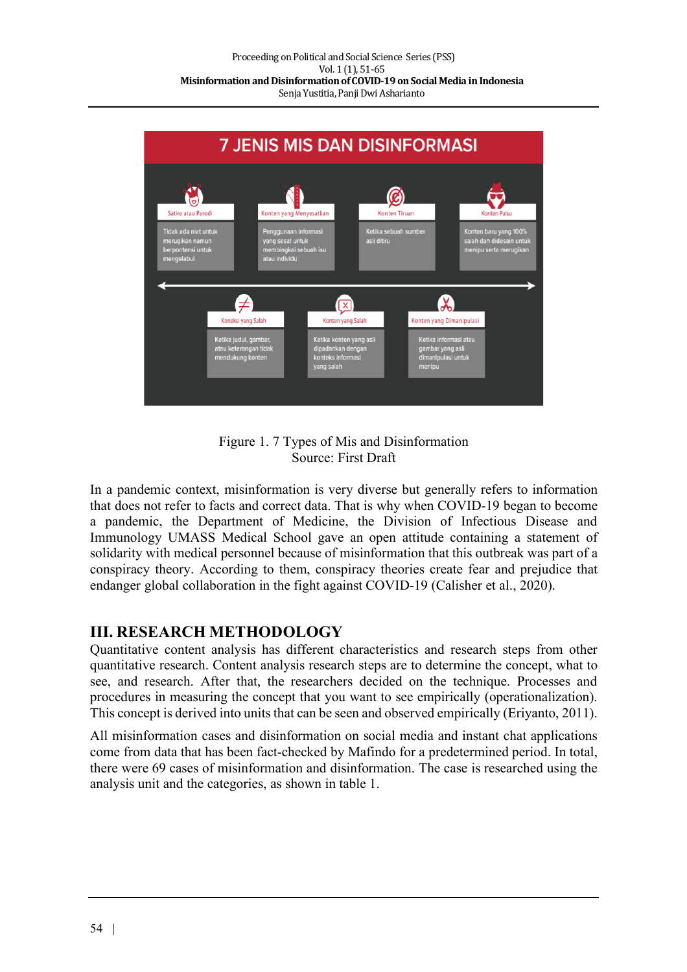



In a pandemic context, misinformation is very diverse but generally refers to information that does not refer to facts and correct data. That is why when COVID-19 began to become a pandemic, the Department of Medicine, the Division of Infectious Disease and Immunology UMASS Medical School gave an open attitude containing a statement of solidarity with medical personnel because of misinformation that this outbreak was part of a conspiracy theory. According to them, conspiracy theories create fear and prejudice that endanger global collaboration in the fight against COVID-19 (Calisher et al., 2020).

### **III. RESEARCH METHODOLOGY**

Quantitative content analysis has different characteristics and research steps from other quantitative research. Content analysis research steps are to determine the concept, what to see, and research. After that, the researchers decided on the technique. Processes and procedures in measuring the concept that you want to see empirically (operationalization). This concept is derived into units that can be seen and observed empirically (Eriyanto, 2011).

All misinformation cases and disinformation on social media and instant chat applications come from data that has been fact-checked by Mafindo for a predetermined period. In total, there were 69 cases of misinformation and disinformation. The case is researched using the analysis unit and the categories, as shown in table 1.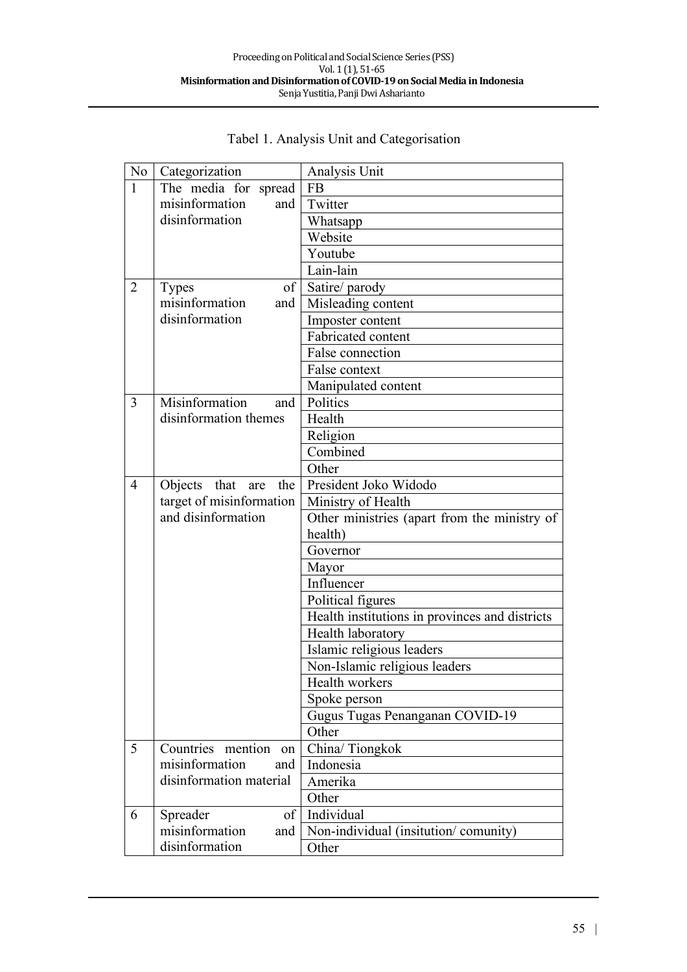| No <sub>1</sub> | Categorization            | Analysis Unit                                  |
|-----------------|---------------------------|------------------------------------------------|
| $\mathbf{1}$    | The media for spread   FB |                                                |
|                 | misinformation<br>and     | Twitter                                        |
|                 | disinformation            | Whatsapp                                       |
|                 |                           | Website                                        |
|                 |                           | Youtube                                        |
|                 |                           | Lain-lain                                      |
| $\overline{2}$  | <b>Types</b>              | of   Satire/ parody                            |
|                 | misinformation<br>and     | Misleading content                             |
|                 | disinformation            | Imposter content                               |
|                 |                           | Fabricated content                             |
|                 |                           | False connection                               |
|                 |                           | False context                                  |
|                 |                           | Manipulated content                            |
| 3               | Misinformation<br>and     | Politics                                       |
|                 | disinformation themes     | Health                                         |
|                 |                           | Religion                                       |
|                 |                           | Combined                                       |
|                 |                           | Other                                          |
| $\overline{4}$  | Objects that are<br>the   | President Joko Widodo                          |
|                 | target of misinformation  | Ministry of Health                             |
|                 | and disinformation        | Other ministries (apart from the ministry of   |
|                 |                           | health)                                        |
|                 |                           | Governor                                       |
|                 |                           | Mayor                                          |
|                 |                           | Influencer                                     |
|                 |                           | Political figures                              |
|                 |                           | Health institutions in provinces and districts |
|                 |                           | Health laboratory                              |
|                 |                           | Islamic religious leaders                      |
|                 |                           | Non-Islamic religious leaders                  |
|                 |                           | Health workers                                 |
|                 |                           | Spoke person                                   |
|                 |                           | Gugus Tugas Penanganan COVID-19                |
|                 |                           | Other                                          |
| 5               | Countries mention on      | China/Tiongkok                                 |
|                 | misinformation<br>and     | Indonesia                                      |
|                 | disinformation material   | Amerika                                        |
|                 |                           | Other                                          |
| 6               | of<br>Spreader            | Individual                                     |
|                 | misinformation<br>and     | Non-individual (insitution/comunity)           |
|                 | disinformation            | Other                                          |

## Tabel 1. Analysis Unit and Categorisation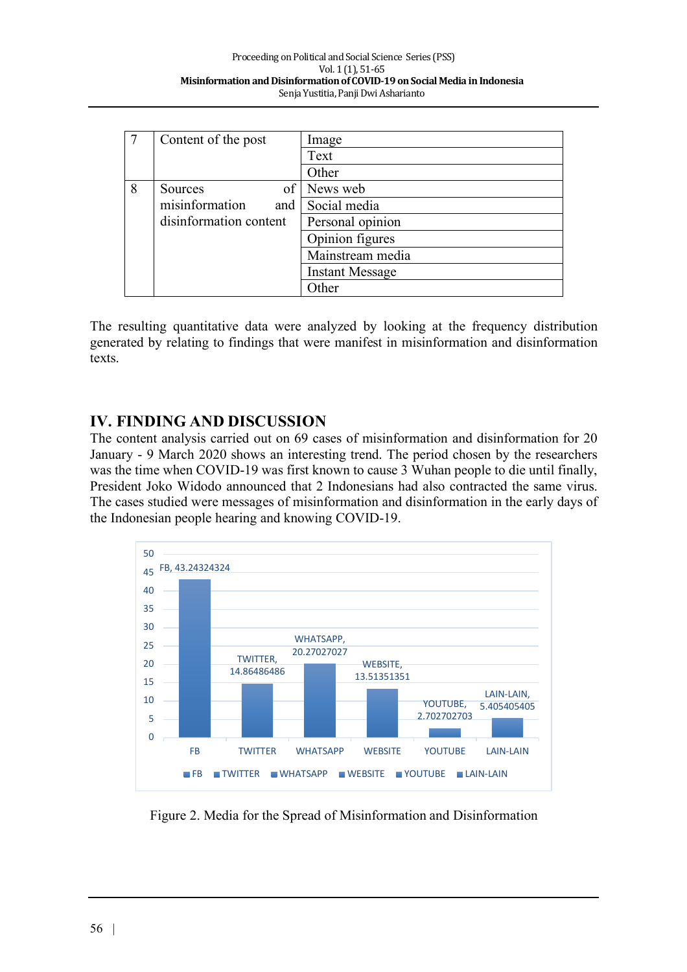|   | Content of the post    | Image                  |
|---|------------------------|------------------------|
|   |                        | Text                   |
|   |                        | Other                  |
| 8 | of<br><b>Sources</b>   | News web               |
|   | misinformation<br>and  | Social media           |
|   | disinformation content | Personal opinion       |
|   |                        | Opinion figures        |
|   |                        | Mainstream media       |
|   |                        | <b>Instant Message</b> |
|   |                        | )ther                  |

The resulting quantitative data were analyzed by looking at the frequency distribution generated by relating to findings that were manifest in misinformation and disinformation texts.

### **IV. FINDING AND DISCUSSION**

The content analysis carried out on 69 cases of misinformation and disinformation for 20 January - 9 March 2020 shows an interesting trend. The period chosen by the researchers was the time when COVID-19 was first known to cause 3 Wuhan people to die until finally, President Joko Widodo announced that 2 Indonesians had also contracted the same virus. The cases studied were messages of misinformation and disinformation in the early days of the Indonesian people hearing and knowing COVID-19.



Figure 2. Media for the Spread of Misinformation and Disinformation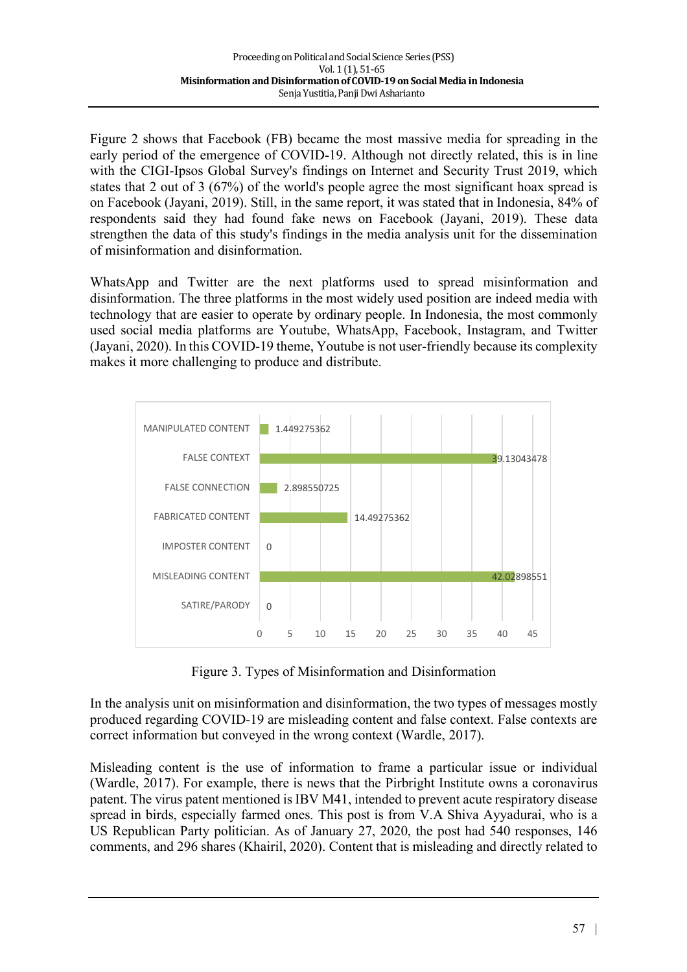Figure 2 shows that Facebook (FB) became the most massive media for spreading in the early period of the emergence of COVID-19. Although not directly related, this is in line with the CIGI-Ipsos Global Survey's findings on Internet and Security Trust 2019, which states that 2 out of 3 (67%) of the world's people agree the most significant hoax spread is on Facebook (Jayani, 2019). Still, in the same report, it was stated that in Indonesia, 84% of respondents said they had found fake news on Facebook (Jayani, 2019). These data strengthen the data of this study's findings in the media analysis unit for the dissemination of misinformation and disinformation.

WhatsApp and Twitter are the next platforms used to spread misinformation and disinformation. The three platforms in the most widely used position are indeed media with technology that are easier to operate by ordinary people. In Indonesia, the most commonly used social media platforms are Youtube, WhatsApp, Facebook, Instagram, and Twitter (Jayani, 2020). In this COVID-19 theme, Youtube is not user-friendly because its complexity makes it more challenging to produce and distribute.



Figure 3. Types of Misinformation and Disinformation

In the analysis unit on misinformation and disinformation, the two types of messages mostly produced regarding COVID-19 are misleading content and false context. False contexts are correct information but conveyed in the wrong context (Wardle, 2017).

Misleading content is the use of information to frame a particular issue or individual (Wardle, 2017). For example, there is news that the Pirbright Institute owns a coronavirus patent. The virus patent mentioned is IBV M41, intended to prevent acute respiratory disease spread in birds, especially farmed ones. This post is from V.A Shiva Ayyadurai, who is a US Republican Party politician. As of January 27, 2020, the post had 540 responses, 146 comments, and 296 shares (Khairil, 2020). Content that is misleading and directly related to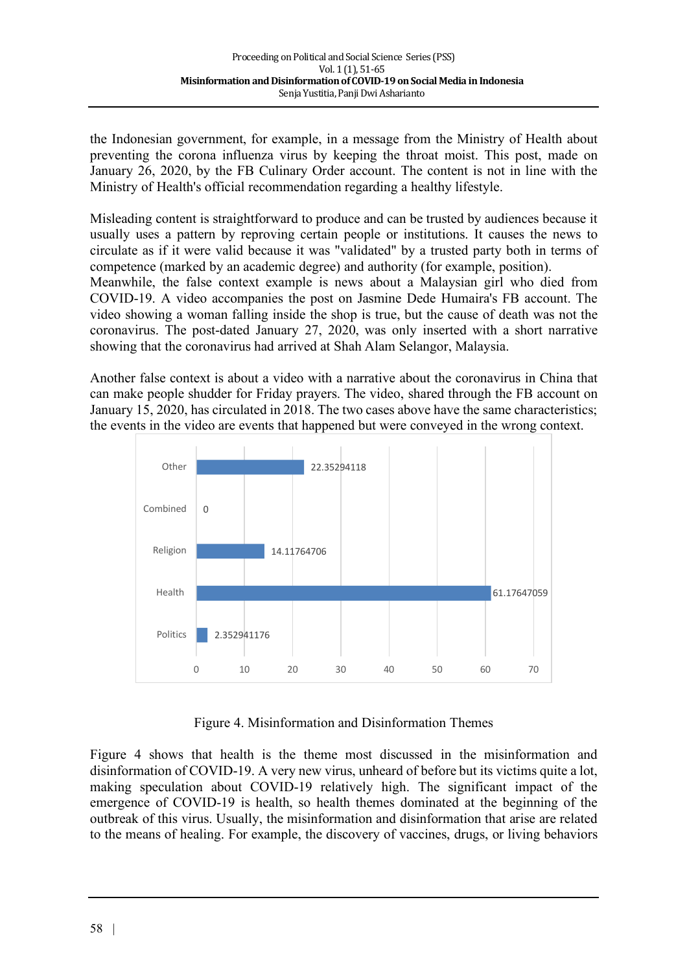the Indonesian government, for example, in a message from the Ministry of Health about preventing the corona influenza virus by keeping the throat moist. This post, made on January 26, 2020, by the FB Culinary Order account. The content is not in line with the Ministry of Health's official recommendation regarding a healthy lifestyle.

Misleading content is straightforward to produce and can be trusted by audiences because it usually uses a pattern by reproving certain people or institutions. It causes the news to circulate as if it were valid because it was "validated" by a trusted party both in terms of competence (marked by an academic degree) and authority (for example, position).

Meanwhile, the false context example is news about a Malaysian girl who died from COVID-19. A video accompanies the post on Jasmine Dede Humaira's FB account. The video showing a woman falling inside the shop is true, but the cause of death was not the coronavirus. The post-dated January 27, 2020, was only inserted with a short narrative showing that the coronavirus had arrived at Shah Alam Selangor, Malaysia.

Another false context is about a video with a narrative about the coronavirus in China that can make people shudder for Friday prayers. The video, shared through the FB account on January 15, 2020, has circulated in 2018. The two cases above have the same characteristics; the events in the video are events that happened but were conveyed in the wrong context.



Figure 4. Misinformation and Disinformation Themes

Figure 4 shows that health is the theme most discussed in the misinformation and disinformation of COVID-19. A very new virus, unheard of before but its victims quite a lot, making speculation about COVID-19 relatively high. The significant impact of the emergence of COVID-19 is health, so health themes dominated at the beginning of the outbreak of this virus. Usually, the misinformation and disinformation that arise are related to the means of healing. For example, the discovery of vaccines, drugs, or living behaviors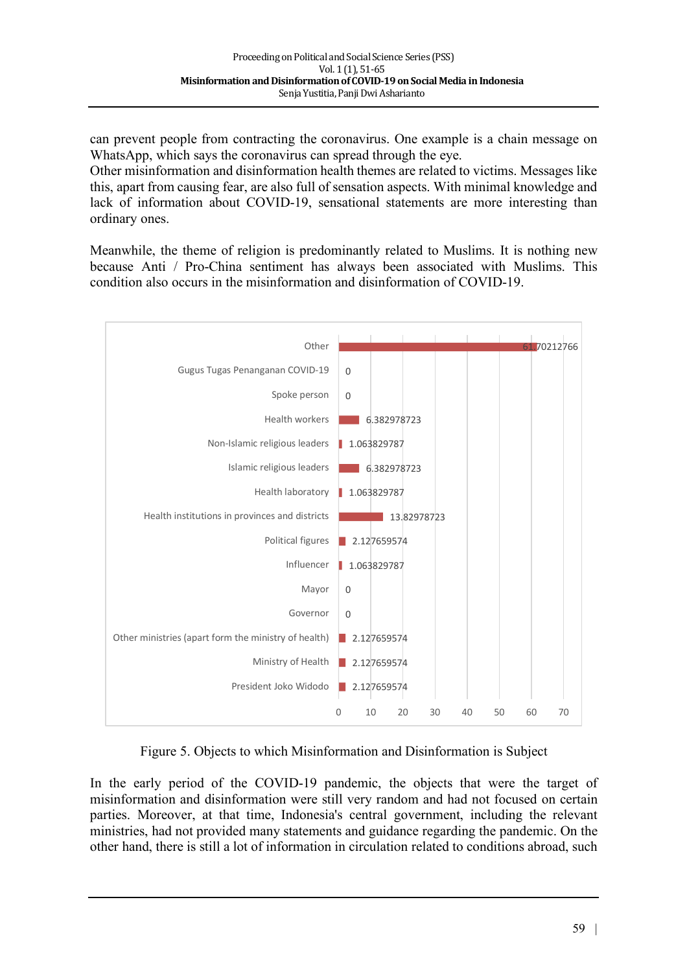can prevent people from contracting the coronavirus. One example is a chain message on WhatsApp, which says the coronavirus can spread through the eye.

Other misinformation and disinformation health themes are related to victims. Messages like this, apart from causing fear, are also full of sensation aspects. With minimal knowledge and lack of information about COVID-19, sensational statements are more interesting than ordinary ones.

Meanwhile, the theme of religion is predominantly related to Muslims. It is nothing new because Anti / Pro-China sentiment has always been associated with Muslims. This condition also occurs in the misinformation and disinformation of COVID-19.



Figure 5. Objects to which Misinformation and Disinformation is Subject

In the early period of the COVID-19 pandemic, the objects that were the target of misinformation and disinformation were still very random and had not focused on certain parties. Moreover, at that time, Indonesia's central government, including the relevant ministries, had not provided many statements and guidance regarding the pandemic. On the other hand, there is still a lot of information in circulation related to conditions abroad, such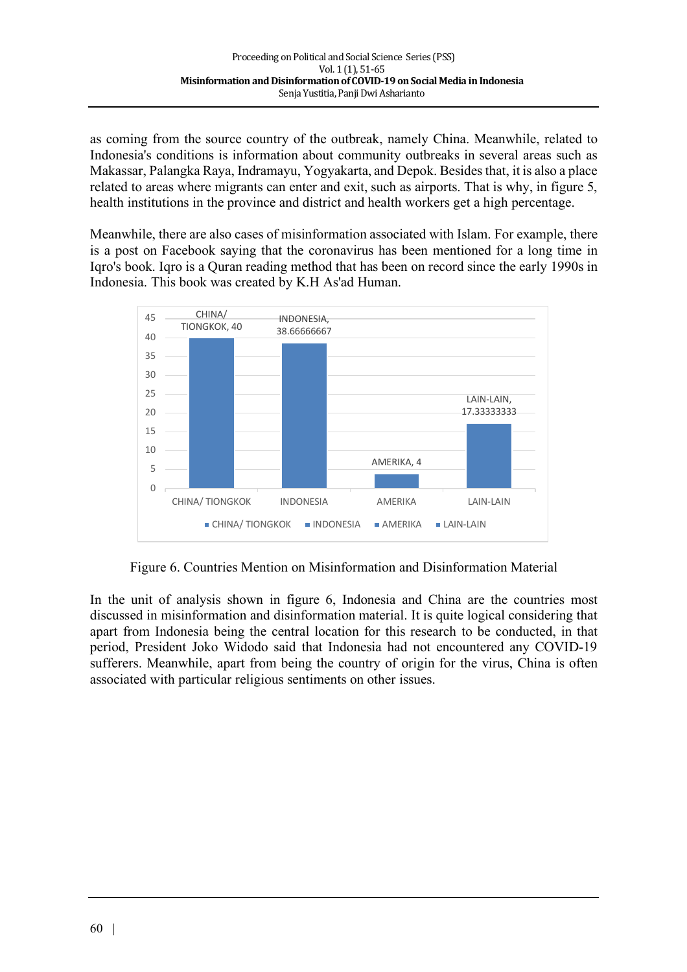as coming from the source country of the outbreak, namely China. Meanwhile, related to Indonesia's conditions is information about community outbreaks in several areas such as Makassar, Palangka Raya, Indramayu, Yogyakarta, and Depok. Besides that, it is also a place related to areas where migrants can enter and exit, such as airports. That is why, in figure 5, health institutions in the province and district and health workers get a high percentage.

Meanwhile, there are also cases of misinformation associated with Islam. For example, there is a post on Facebook saying that the coronavirus has been mentioned for a long time in Iqro's book. Iqro is a Quran reading method that has been on record since the early 1990s in Indonesia. This book was created by K.H As'ad Human.



Figure 6. Countries Mention on Misinformation and Disinformation Material

In the unit of analysis shown in figure 6, Indonesia and China are the countries most discussed in misinformation and disinformation material. It is quite logical considering that apart from Indonesia being the central location for this research to be conducted, in that period, President Joko Widodo said that Indonesia had not encountered any COVID-19 sufferers. Meanwhile, apart from being the country of origin for the virus, China is often associated with particular religious sentiments on other issues.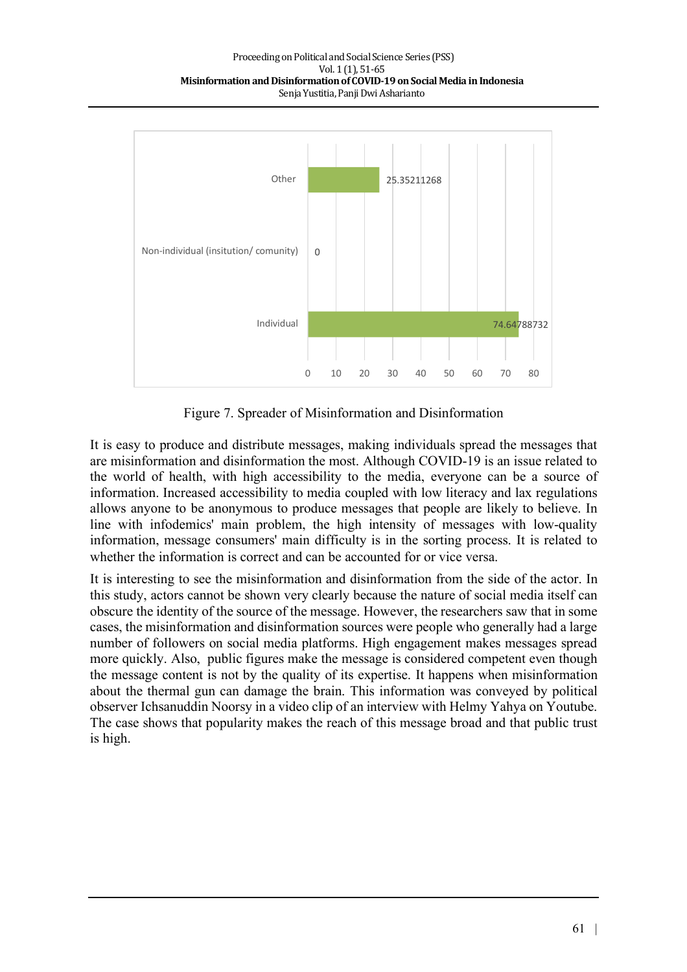

Figure 7. Spreader of Misinformation and Disinformation

It is easy to produce and distribute messages, making individuals spread the messages that are misinformation and disinformation the most. Although COVID-19 is an issue related to the world of health, with high accessibility to the media, everyone can be a source of information. Increased accessibility to media coupled with low literacy and lax regulations allows anyone to be anonymous to produce messages that people are likely to believe. In line with infodemics' main problem, the high intensity of messages with low-quality information, message consumers' main difficulty is in the sorting process. It is related to whether the information is correct and can be accounted for or vice versa.

It is interesting to see the misinformation and disinformation from the side of the actor. In this study, actors cannot be shown very clearly because the nature of social media itself can obscure the identity of the source of the message. However, the researchers saw that in some cases, the misinformation and disinformation sources were people who generally had a large number of followers on social media platforms. High engagement makes messages spread more quickly. Also, public figures make the message is considered competent even though the message content is not by the quality of its expertise. It happens when misinformation about the thermal gun can damage the brain. This information was conveyed by political observer Ichsanuddin Noorsy in a video clip of an interview with Helmy Yahya on Youtube. The case shows that popularity makes the reach of this message broad and that public trust is high.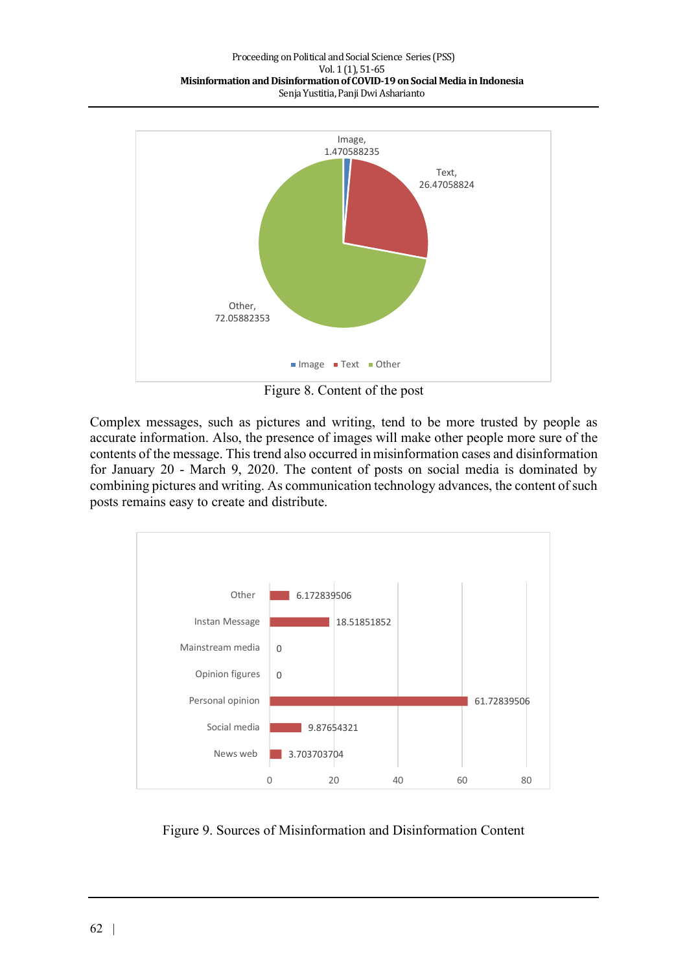

Figure 8. Content of the post

Complex messages, such as pictures and writing, tend to be more trusted by people as accurate information. Also, the presence of images will make other people more sure of the contents of the message. This trend also occurred in misinformation cases and disinformation for January 20 - March 9, 2020. The content of posts on social media is dominated by combining pictures and writing. As communication technology advances, the content of such posts remains easy to create and distribute.



Figure 9. Sources of Misinformation and Disinformation Content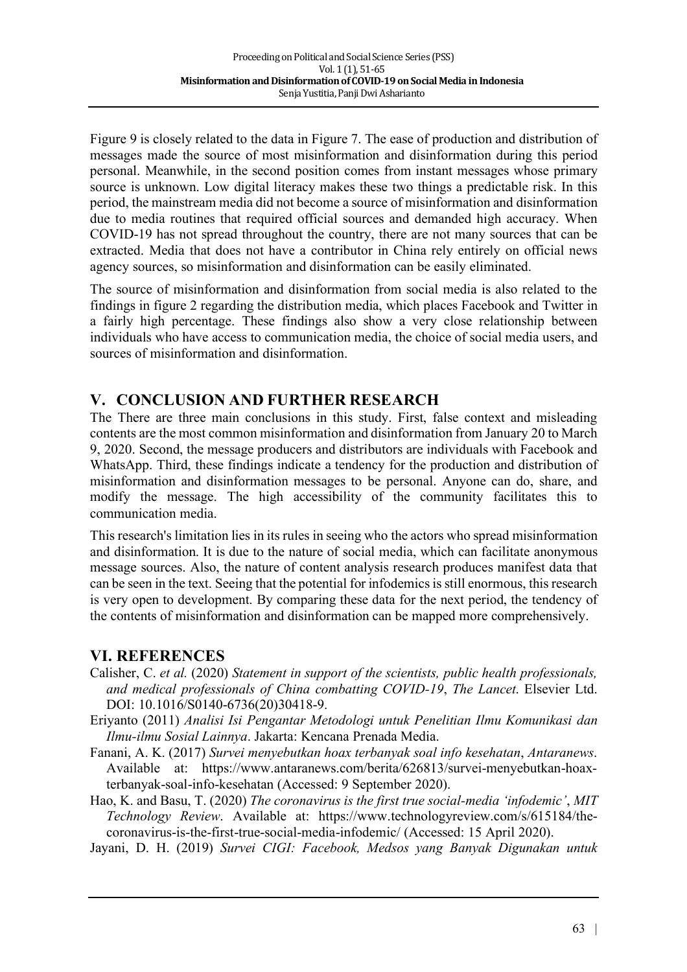Figure 9 is closely related to the data in Figure 7. The ease of production and distribution of messages made the source of most misinformation and disinformation during this period personal. Meanwhile, in the second position comes from instant messages whose primary source is unknown. Low digital literacy makes these two things a predictable risk. In this period, the mainstream media did not become a source of misinformation and disinformation due to media routines that required official sources and demanded high accuracy. When COVID-19 has not spread throughout the country, there are not many sources that can be extracted. Media that does not have a contributor in China rely entirely on official news agency sources, so misinformation and disinformation can be easily eliminated.

The source of misinformation and disinformation from social media is also related to the findings in figure 2 regarding the distribution media, which places Facebook and Twitter in a fairly high percentage. These findings also show a very close relationship between individuals who have access to communication media, the choice of social media users, and sources of misinformation and disinformation.

## **V. CONCLUSION AND FURTHER RESEARCH**

The There are three main conclusions in this study. First, false context and misleading contents are the most common misinformation and disinformation from January 20 to March 9, 2020. Second, the message producers and distributors are individuals with Facebook and WhatsApp. Third, these findings indicate a tendency for the production and distribution of misinformation and disinformation messages to be personal. Anyone can do, share, and modify the message. The high accessibility of the community facilitates this to communication media.

This research's limitation lies in its rules in seeing who the actors who spread misinformation and disinformation. It is due to the nature of social media, which can facilitate anonymous message sources. Also, the nature of content analysis research produces manifest data that can be seen in the text. Seeing that the potential for infodemics is still enormous, this research is very open to development. By comparing these data for the next period, the tendency of the contents of misinformation and disinformation can be mapped more comprehensively.

### **VI. REFERENCES**

- Calisher, C. *et al.* (2020) *Statement in support of the scientists, public health professionals, and medical professionals of China combatting COVID-19*, *The Lancet*. Elsevier Ltd. DOI: 10.1016/S0140-6736(20)30418-9.
- Eriyanto (2011) *Analisi Isi Pengantar Metodologi untuk Penelitian Ilmu Komunikasi dan Ilmu-ilmu Sosial Lainnya*. Jakarta: Kencana Prenada Media.
- Fanani, A. K. (2017) *Survei menyebutkan hoax terbanyak soal info kesehatan*, *Antaranews*. Available at: https://www.antaranews.com/berita/626813/survei-menyebutkan-hoaxterbanyak-soal-info-kesehatan (Accessed: 9 September 2020).

Hao, K. and Basu, T. (2020) *The coronavirus is the first true social-media 'infodemic'*, *MIT Technology Review*. Available at: https://www.technologyreview.com/s/615184/thecoronavirus-is-the-first-true-social-media-infodemic/ (Accessed: 15 April 2020).

Jayani, D. H. (2019) *Survei CIGI: Facebook, Medsos yang Banyak Digunakan untuk*